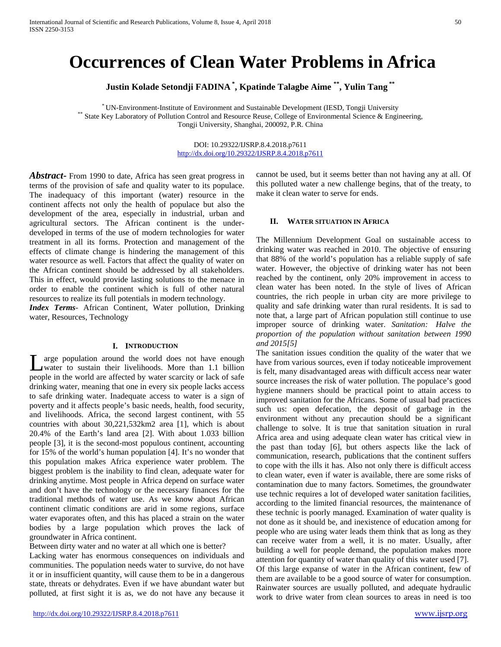# **Occurrences of Clean Water Problems in Africa**

**Justin Kolade Setondji FADINA \* , Kpatinde Talagbe Aime \*\*, Yulin Tang \*\***

\* UN-Environment-Institute of Environment and Sustainable Development (IESD, Tongji University \*\* State Key Laboratory of Pollution Control and Resource Reuse, College of Environmental Science & Engineering, Tongji University, Shanghai, 200092, P.R. China

## DOI: 10.29322/IJSRP.8.4.2018.p7611 <http://dx.doi.org/10.29322/IJSRP.8.4.2018.p7611>

*Abstract***-** From 1990 to date, Africa has seen great progress in terms of the provision of safe and quality water to its populace. The inadequacy of this important (water) resource in the continent affects not only the health of populace but also the development of the area, especially in industrial, urban and agricultural sectors. The African continent is the underdeveloped in terms of the use of modern technologies for water treatment in all its forms. Protection and management of the effects of climate change is hindering the management of this water resource as well. Factors that affect the quality of water on the African continent should be addressed by all stakeholders. This in effect, would provide lasting solutions to the menace in order to enable the continent which is full of other natural resources to realize its full potentials in modern technology.

*Index Terms*- African Continent, Water pollution, Drinking water, Resources, Technology

## **I. INTRODUCTION**

arge population around the world does not have enough water to sustain their livelihoods. More than 1.1 billion L arge population around the world does not have enough water to sustain their livelihoods. More than 1.1 billion people in the world are affected by water scarcity or lack of safe drinking water, meaning that one in every six people lacks access to safe drinking water. Inadequate access to water is a sign of poverty and it affects people's basic needs, health, food security, and livelihoods. Africa, the second largest continent, with 55 countries with about 30,221,532km2 area [1], which is about 20.4% of the Earth's land area [2]. With about 1.033 billion people [3], it is the second-most populous continent, accounting for 15% of the world's human population [4]. It's no wonder that this population makes Africa experience water problem. The biggest problem is the inability to find clean, adequate water for drinking anytime. Most people in Africa depend on surface water and don't have the technology or the necessary finances for the traditional methods of water use. As we know about African continent climatic conditions are arid in some regions, surface water evaporates often, and this has placed a strain on the water bodies by a large population which proves the lack of groundwater in Africa continent.

Between dirty water and no water at all which one is better? Lacking water has enormous consequences on individuals and communities. The population needs water to survive, do not have it or in insufficient quantity, will cause them to be in a dangerous state, threats or dehydrates. Even if we have abundant water but polluted, at first sight it is as, we do not have any because it

<http://dx.doi.org/10.29322/IJSRP.8.4.2018.p7611> [www.ijsrp.org](http://ijsrp.org/)

cannot be used, but it seems better than not having any at all. Of this polluted water a new challenge begins, that of the treaty, to make it clean water to serve for ends.

#### **II. WATER SITUATION IN AFRICA**

The Millennium Development Goal on sustainable access to drinking water was reached in 2010. The objective of ensuring that 88% of the world's population has a reliable supply of safe water. However, the objective of drinking water has not been reached by the continent, only 20% improvement in access to clean water has been noted. In the style of lives of African countries, the rich people in urban city are more privilege to quality and safe drinking water than rural residents. It is sad to note that, a large part of African population still continue to use improper source of drinking water. *Sanitation: Halve the proportion of the population without sanitation between 1990 and 2015[5]*

The sanitation issues condition the quality of the water that we have from various sources, even if today noticeable improvement is felt, many disadvantaged areas with difficult access near water source increases the risk of water pollution. The populace's good hygiene manners should be practical point to attain access to improved sanitation for the Africans. Some of usual bad practices such us: open defecation, the deposit of garbage in the environment without any precaution should be a significant challenge to solve. It is true that sanitation situation in rural Africa area and using adequate clean water has critical view in the past than today [6], but others aspects like the lack of communication, research, publications that the continent suffers to cope with the ills it has. Also not only there is difficult access to clean water, even if water is available, there are some risks of contamination due to many factors. Sometimes, the groundwater use technic requires a lot of developed water sanitation facilities, according to the limited financial resources, the maintenance of these technic is poorly managed. Examination of water quality is not done as it should be, and inexistence of education among for people who are using water leads them think that as long as they can receive water from a well, it is no mater. Usually, after building a well for people demand, the population makes more attention for quantity of water than quality of this water used [7]. Of this large expanse of water in the African continent, few of them are available to be a good source of water for consumption. Rainwater sources are usually polluted, and adequate hydraulic work to drive water from clean sources to areas in need is too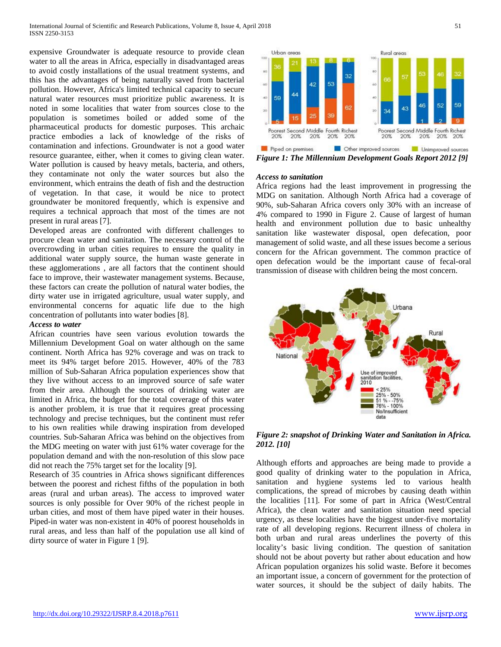expensive Groundwater is adequate resource to provide clean water to all the areas in Africa, especially in disadvantaged areas to avoid costly installations of the usual treatment systems, and this has the advantages of being naturally saved from bacterial pollution. However, Africa's limited technical capacity to secure natural water resources must prioritize public awareness. It is noted in some localities that water from sources close to the population is sometimes boiled or added some of the pharmaceutical products for domestic purposes. This archaic practice embodies a lack of knowledge of the risks of contamination and infections. Groundwater is not a good water resource guarantee, either, when it comes to giving clean water. Water pollution is caused by heavy metals, bacteria, and others, they contaminate not only the water sources but also the environment, which entrains the death of fish and the destruction of vegetation. In that case, it would be nice to protect groundwater be monitored frequently, which is expensive and requires a technical approach that most of the times are not present in rural areas [7].

Developed areas are confronted with different challenges to procure clean water and sanitation. The necessary control of the overcrowding in urban cities requires to ensure the quality in additional water supply source, the human waste generate in these agglomerations , are all factors that the continent should face to improve, their wastewater management systems. Because, these factors can create the pollution of natural water bodies, the dirty water use in irrigated agriculture, usual water supply, and environmental concerns for aquatic life due to the high concentration of pollutants into water bodies [8].

## *Access to water*

African countries have seen various evolution towards the Millennium Development Goal on water although on the same continent. North Africa has 92% coverage and was on track to meet its 94% target before 2015. However, 40% of the 783 million of Sub-Saharan Africa population experiences show that they live without access to an improved source of safe water from their area. Although the sources of drinking water are limited in Africa, the budget for the total coverage of this water is another problem, it is true that it requires great processing technology and precise techniques, but the continent must refer to his own realities while drawing inspiration from developed countries. Sub-Saharan Africa was behind on the objectives from the MDG meeting on water with just 61% water coverage for the population demand and with the non-resolution of this slow pace did not reach the 75% target set for the locality [9].

Research of 35 countries in Africa shows significant differences between the poorest and richest fifths of the population in both areas (rural and urban areas). The access to improved water sources is only possible for Over 90% of the richest people in urban cities, and most of them have piped water in their houses. Piped-in water was non-existent in 40% of poorest households in rural areas, and less than half of the population use all kind of dirty source of water in Figure 1 [9].



*Figure 1: The Millennium Development Goals Report 2012 [9]*

## *Access to sanitation*

Africa regions had the least improvement in progressing the MDG on sanitation. Although North Africa had a coverage of 90%, sub-Saharan Africa covers only 30% with an increase of 4% compared to 1990 in Figure 2. Cause of largest of human health and environment pollution due to basic unhealthy sanitation like wastewater disposal, open defecation, poor management of solid waste, and all these issues become a serious concern for the African government. The common practice of open defecation would be the important cause of fecal-oral transmission of disease with children being the most concern.



*Figure 2: snapshot of Drinking Water and Sanitation in Africa. 2012. [10]*

Although efforts and approaches are being made to provide a good quality of drinking water to the population in Africa, sanitation and hygiene systems led to various health complications, the spread of microbes by causing death within the localities [11]. For some of part in Africa (West/Central Africa), the clean water and sanitation situation need special urgency, as these localities have the biggest under-five mortality rate of all developing regions. Recurrent illness of cholera in both urban and rural areas underlines the poverty of this locality's basic living condition. The question of sanitation should not be about poverty but rather about education and how African population organizes his solid waste. Before it becomes an important issue, a concern of government for the protection of water sources, it should be the subject of daily habits. The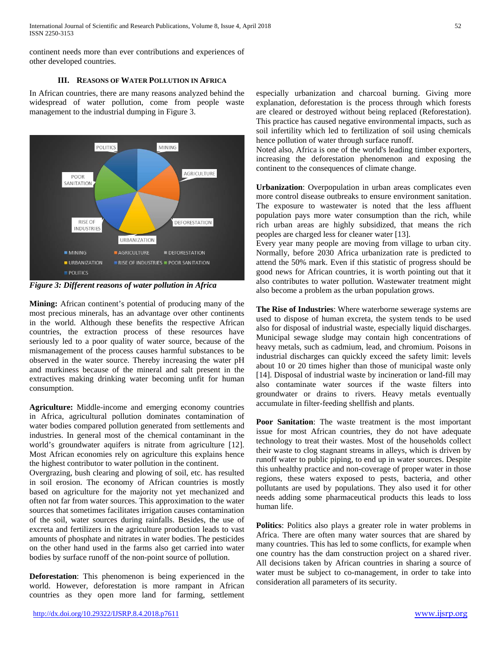continent needs more than ever contributions and experiences of other developed countries.

# **III. REASONS OF WATER POLLUTION IN AFRICA**

In African countries, there are many reasons analyzed behind the widespread of water pollution, come from people waste management to the industrial dumping in Figure 3.



*Figure 3: Different reasons of water pollution in Africa*

**Mining:** African continent's potential of producing many of the most precious minerals, has an advantage over other continents in the world. Although these benefits the respective African countries, the extraction process of these resources have seriously led to a poor quality of water source, because of the mismanagement of the process causes harmful substances to be observed in the water source. Thereby increasing the water pH and murkiness because of the mineral and salt present in the extractives making drinking water becoming unfit for human consumption.

**Agriculture:** Middle-income and emerging economy countries in Africa, agricultural pollution dominates contamination of water bodies compared pollution generated from settlements and industries. In general most of the chemical contaminant in the world's groundwater aquifers is nitrate from agriculture [12]. Most African economies rely on agriculture this explains hence the highest contributor to water pollution in the continent.

Overgrazing, bush clearing and plowing of soil, etc. has resulted in soil erosion. The economy of African countries is mostly based on agriculture for the majority not yet mechanized and often not far from water sources. This approximation to the water sources that sometimes facilitates irrigation causes contamination of the soil, water sources during rainfalls. Besides, the use of excreta and fertilizers in the agriculture production leads to vast amounts of phosphate and nitrates in water bodies. The pesticides on the other hand used in the farms also get carried into water bodies by surface runoff of the non-point source of pollution.

**Deforestation**: This phenomenon is being experienced in the world. However, deforestation is more rampant in African countries as they open more land for farming, settlement

especially urbanization and charcoal burning. Giving more explanation, deforestation is the process through which forests are cleared or destroyed without being replaced (Reforestation). This practice has caused negative environmental impacts, such as soil infertility which led to fertilization of soil using chemicals hence pollution of water through surface runoff.

Noted also, Africa is one of the world's leading timber exporters, increasing the deforestation phenomenon and exposing the continent to the consequences of climate change.

**Urbanization**: Overpopulation in urban areas complicates even more control disease outbreaks to ensure environment sanitation. The exposure to wastewater is noted that the less affluent population pays more water consumption than the rich, while rich urban areas are highly subsidized, that means the rich peoples are charged less for cleaner water [13].

Every year many people are moving from village to urban city. Normally, before 2030 Africa urbanization rate is predicted to attend the 50% mark. Even if this statistic of progress should be good news for African countries, it is worth pointing out that it also contributes to water pollution. Wastewater treatment might also become a problem as the urban population grows.

**The Rise of Industries**: Where waterborne sewerage systems are used to dispose of human excreta, the system tends to be used also for disposal of industrial waste, especially liquid discharges. Municipal sewage sludge may contain high concentrations of heavy metals, such as cadmium, lead, and chromium. Poisons in industrial discharges can quickly exceed the safety limit: levels about 10 or 20 times higher than those of municipal waste only [14]. Disposal of industrial waste by incineration or land-fill may also contaminate water sources if the waste filters into groundwater or drains to rivers. Heavy metals eventually accumulate in filter-feeding shellfish and plants.

**Poor Sanitation**: The waste treatment is the most important issue for most African countries, they do not have adequate technology to treat their wastes. Most of the households collect their waste to clog stagnant streams in alleys, which is driven by runoff water to public piping, to end up in water sources. Despite this unhealthy practice and non-coverage of proper water in those regions, these waters exposed to pests, bacteria, and other pollutants are used by populations. They also used it for other needs adding some pharmaceutical products this leads to loss human life.

**Politics**: Politics also plays a greater role in water problems in Africa. There are often many water sources that are shared by many countries. This has led to some conflicts, for example when one country has the dam construction project on a shared river. All decisions taken by African countries in sharing a source of water must be subject to co-management, in order to take into consideration all parameters of its security.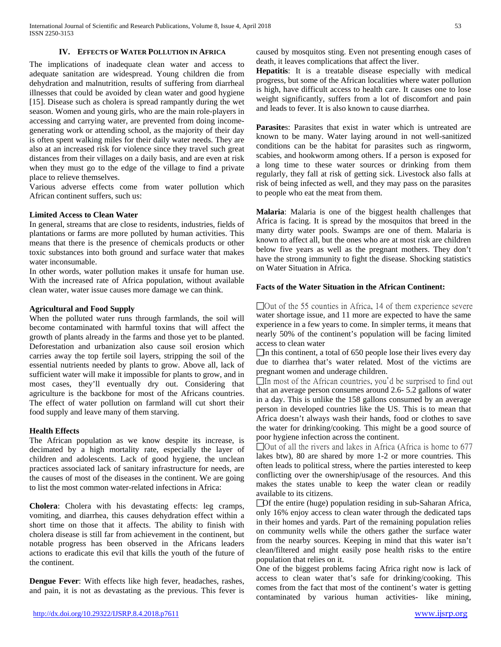## **IV. EFFECTS OF WATER POLLUTION IN AFRICA**

The implications of inadequate clean water and access to adequate sanitation are widespread. Young children die from dehydration and malnutrition, results of suffering from diarrheal illnesses that could be avoided by clean water and good hygiene [15]. Disease such as cholera is spread rampantly during the wet season. Women and young girls, who are the main role-players in accessing and carrying water, are prevented from doing incomegenerating work or attending school, as the majority of their day is often spent walking miles for their daily water needs. They are also at an increased risk for violence since they travel such great distances from their villages on a daily basis, and are even at risk when they must go to the edge of the village to find a private place to relieve themselves.

Various adverse effects come from water pollution which African continent suffers, such us:

## **Limited Access to Clean Water**

In general, streams that are close to residents, industries, fields of plantations or farms are more polluted by human activities. This means that there is the presence of chemicals products or other toxic substances into both ground and surface water that makes water inconsumable.

In other words, water pollution makes it unsafe for human use. With the increased rate of Africa population, without available clean water, water issue causes more damage we can think.

## **Agricultural and Food Supply**

When the polluted water runs through farmlands, the soil will become contaminated with harmful toxins that will affect the growth of plants already in the farms and those yet to be planted. Deforestation and urbanization also cause soil erosion which carries away the top fertile soil layers, stripping the soil of the essential nutrients needed by plants to grow. Above all, lack of sufficient water will make it impossible for plants to grow, and in most cases, they'll eventually dry out. Considering that agriculture is the backbone for most of the Africans countries. The effect of water pollution on farmland will cut short their food supply and leave many of them starving.

#### **Health Effects**

The African population as we know despite its increase, is decimated by a high mortality rate, especially the layer of children and adolescents. Lack of good hygiene, the unclean practices associated lack of sanitary infrastructure for needs, are the causes of most of the diseases in the continent. We are going to list the most common water-related infections in Africa:

**Cholera**: Cholera with his devastating effects: leg cramps, vomiting, and diarrhea, this causes dehydration effect within a short time on those that it affects. The ability to finish with cholera disease is still far from achievement in the continent, but notable progress has been observed in the Africans leaders actions to eradicate this evil that kills the youth of the future of the continent.

**Dengue Fever**: With effects like high fever, headaches, rashes, and pain, it is not as devastating as the previous. This fever is caused by mosquitos sting. Even not presenting enough cases of death, it leaves complications that affect the liver.

**Hepatitis**: It is a treatable disease especially with medical progress, but some of the African localities where water pollution is high, have difficult access to health care. It causes one to lose weight significantly, suffers from a lot of discomfort and pain and leads to fever. It is also known to cause diarrhea.

**Parasite**s: Parasites that exist in water which is untreated are known to be many. Water laying around in not well-sanitized conditions can be the habitat for parasites such as ringworm, scabies, and hookworm among others. If a person is exposed for a long time to these water sources or drinking from them regularly, they fall at risk of getting sick. Livestock also falls at risk of being infected as well, and they may pass on the parasites to people who eat the meat from them.

**Malaria**: Malaria is one of the biggest health challenges that Africa is facing. It is spread by the mosquitos that breed in the many dirty water pools. Swamps are one of them. Malaria is known to affect all, but the ones who are at most risk are children below five years as well as the pregnant mothers. They don't have the strong immunity to fight the disease. Shocking statistics on Water Situation in Africa.

# **Facts of the Water Situation in the African Continent:**

 $\Box$  Out of the 55 counties in Africa, 14 of them experience severe water shortage issue, and 11 more are expected to have the same experience in a few years to come. In simpler terms, it means that nearly 50% of the continent's population will be facing limited access to clean water

 $\Box$  In this continent, a total of 650 people lose their lives every day due to diarrhea that's water related. Most of the victims are pregnant women and underage children.

 $\Box$ In most of the African countries, you'd be surprised to find out that an average person consumes around 2.6- 5.2 gallons of water in a day. This is unlike the 158 gallons consumed by an average person in developed countries like the US. This is to mean that Africa doesn't always wash their hands, food or clothes to save the water for drinking/cooking. This might be a good source of poor hygiene infection across the continent.

 $\Box$  Out of all the rivers and lakes in Africa (Africa is home to 677 lakes btw), 80 are shared by more 1-2 or more countries. This often leads to political stress, where the parties interested to keep conflicting over the ownership/usage of the resources. And this makes the states unable to keep the water clean or readily available to its citizens.

Of the entire (huge) population residing in sub-Saharan Africa, only 16% enjoy access to clean water through the dedicated taps in their homes and yards. Part of the remaining population relies on community wells while the others gather the surface water from the nearby sources. Keeping in mind that this water isn't clean/filtered and might easily pose health risks to the entire population that relies on it.

One of the biggest problems facing Africa right now is lack of access to clean water that's safe for drinking/cooking. This comes from the fact that most of the continent's water is getting contaminated by various human activities- like mining,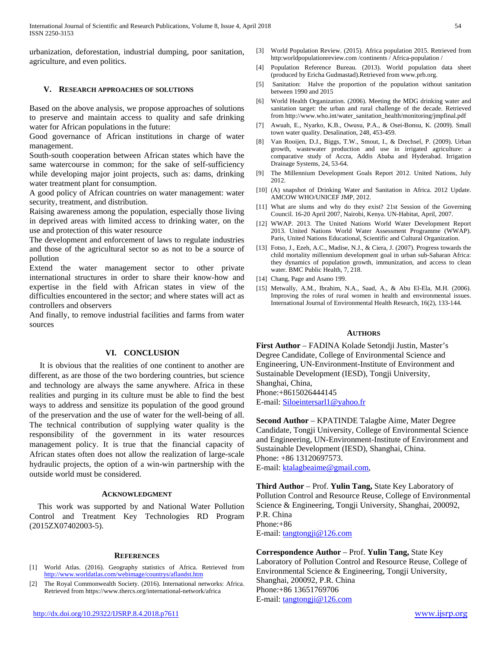urbanization, deforestation, industrial dumping, poor sanitation, agriculture, and even politics.

## **V. RESEARCH APPROACHES OF SOLUTIONS**

Based on the above analysis, we propose approaches of solutions to preserve and maintain access to quality and safe drinking water for African populations in the future:

Good governance of African institutions in charge of water management.

South-south cooperation between African states which have the same watercourse in common; for the sake of self-sufficiency while developing major joint projects, such as: dams, drinking water treatment plant for consumption.

A good policy of African countries on water management: water security, treatment, and distribution.

Raising awareness among the population, especially those living in deprived areas with limited access to drinking water, on the use and protection of this water resource

The development and enforcement of laws to regulate industries and those of the agricultural sector so as not to be a source of pollution

Extend the water management sector to other private international structures in order to share their know-how and expertise in the field with African states in view of the difficulties encountered in the sector; and where states will act as controllers and observers

And finally, to remove industrial facilities and farms from water sources

### **VI. CONCLUSION**

It is obvious that the realities of one continent to another are different, as are those of the two bordering countries, but science and technology are always the same anywhere. Africa in these realities and purging in its culture must be able to find the best ways to address and sensitize its population of the good ground of the preservation and the use of water for the well-being of all. The technical contribution of supplying water quality is the responsibility of the government in its water resources management policy. It is true that the financial capacity of African states often does not allow the realization of large-scale hydraulic projects, the option of a win-win partnership with the outside world must be considered.

#### **ACKNOWLEDGMENT**

This work was supported by and National Water Pollution Control and Treatment Key Technologies RD Program (2015ZX07402003-5).

#### **REFERENCES**

- [1] World Atlas. (2016). Geography statistics of Africa. Retrieved from <http://www.worldatlas.com/webimage/countrys/aflandst.htm>
- [2] The Royal Commonwealth Society. (2016). International networks: Africa. Retrieved from https://www.thercs.org/international-network/africa
- [3] World Population Review. (2015). Africa population 2015. Retrieved from http:worldpopulationreview.com /continents / Africa-population /
- [4] Population Reference Bureau. (2013). World population data sheet (produced by Ericha Gudmastad).Retrieved from www.prb.org.
- [5] Sanitation: Halve the proportion of the population without sanitation between 1990 and 2015
- [6] World Health Organization. (2006). Meeting the MDG drinking water and sanitation target: the urban and rural challenge of the decade. Retrieved from http://www.who.int/water\_sanitation\_health/monitoring/jmpfinal.pdf
- [7] Awuah, E., Nyarko, K.B., Owusu, P.A., & Osei-Bonsu, K. (2009). Small town water quality. Desalination, 248, 453-459.
- [8] Van Rooijen, D.J., Biggs, T.W., Smout, I., & Drechsel, P. (2009). Urban growth, wastewater production and use in irrigated agriculture: a comparative study of Accra, Addis Ababa and Hyderabad. Irrigation Drainage Systems, 24, 53-64.
- [9] The Millennium Development Goals Report 2012. United Nations, July 2012.
- [10] (A) snapshot of Drinking Water and Sanitation in Africa. 2012 Update. AMCOW WHO/UNICEF JMP, 2012.
- [11] What are slums and why do they exist? 21st Session of the Governing Council. 16-20 April 2007, Nairobi, Kenya. UN-Habitat, April, 2007.
- [12] WWAP. 2013. The United Nations World Water Development Report 2013. United Nations World Water Assessment Programme (WWAP). Paris, United Nations Educational, Scientific and Cultural Organization.
- [13] Fotso, J., Ezeh, A.C., Madise, N.J., & Ciera, J. (2007). Progress towards the child mortality millennium development goal in urban sub-Saharan Africa: they dynamics of population growth, immunization, and access to clean water. BMC Public Health, 7, 218.
- [14] Chang, Page and Asano 199.
- [15] Metwally, A.M., Ibrahim, N.A., Saad, A., & Abu El-Ela, M.H. (2006). Improving the roles of rural women in health and environmental issues. International Journal of Environmental Health Research, 16(2), 133-144.

#### **AUTHORS**

**First Author** – FADINA Kolade Setondji Justin, Master's Degree Candidate, College of Environmental Science and Engineering, UN-Environment-Institute of Environment and Sustainable Development (IESD), Tongji University, Shanghai, China, Phone:+8615026444145 E-mail[: Siloeintersarl1@yahoo.fr](mailto:Siloeintersarl1@yahoo.fr)

**Second Author** – KPATINDE Talagbe Aime, Mater Degree Candidate, Tongji University, College of Environmental Science and Engineering, UN-Environment-Institute of Environment and Sustainable Development (IESD), Shanghai, China. Phone: +86 13120697573. E-mail[: ktalagbeaime@gmail.com,](mailto:ktalagbeaime@gmail.com)

**Third Author** – Prof. **Yulin Tang,** State Key Laboratory of Pollution Control and Resource Reuse, College of Environmental Science & Engineering, Tongji University, Shanghai, 200092, P.R. China Phone:+86 E-mail[: tangtongji@126.com](mailto:tangtongji@126.com)

**Correspondence Author** – Prof. **Yulin Tang,** State Key Laboratory of Pollution Control and Resource Reuse, College of Environmental Science & Engineering, Tongji University, Shanghai, 200092, P.R. China Phone:+86 13651769706 E-mail[: tangtongji@126.com](mailto:tangtongji@126.com)